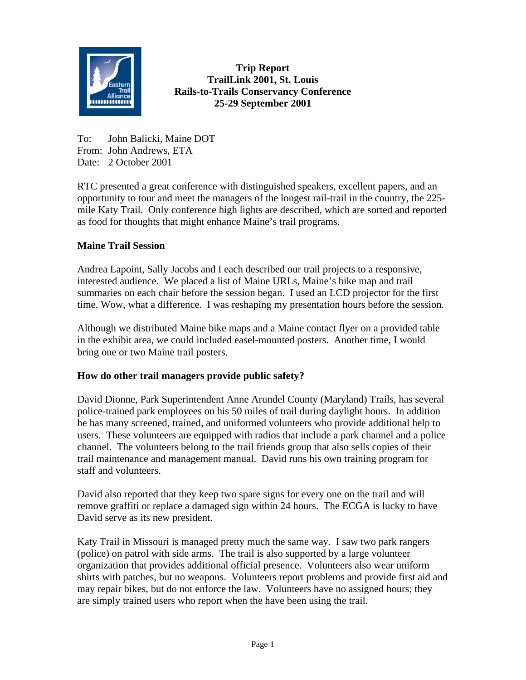

**Trip Report TrailLink 2001, St. Louis Rails-to-Trails Conservancy Conference 25-29 September 2001**

To: John Balicki, Maine DOT From: John Andrews, ETA Date: 2 October 2001

RTC presented a great conference with distinguished speakers, excellent papers, and an opportunity to tour and meet the managers of the longest rail-trail in the country, the 225 mile Katy Trail. Only conference high lights are described, which are sorted and reported as food for thoughts that might enhance Maine's trail programs.

## **Maine Trail Session**

Andrea Lapoint, Sally Jacobs and I each described our trail projects to a responsive, interested audience. We placed a list of Maine URLs, Maine's bike map and trail summaries on each chair before the session began. I used an LCD projector for the first time. Wow, what a difference. I was reshaping my presentation hours before the session.

Although we distributed Maine bike maps and a Maine contact flyer on a provided table in the exhibit area, we could included easel-mounted posters. Another time, I would bring one or two Maine trail posters.

## **How do other trail managers provide public safety?**

David Dionne, Park Superintendent Anne Arundel County (Maryland) Trails, has several police-trained park employees on his 50 miles of trail during daylight hours. In addition he has many screened, trained, and uniformed volunteers who provide additional help to users. These volunteers are equipped with radios that include a park channel and a police channel. The volunteers belong to the trail friends group that also sells copies of their trail maintenance and management manual. David runs his own training program for staff and volunteers.

David also reported that they keep two spare signs for every one on the trail and will remove graffiti or replace a damaged sign within 24 hours. The ECGA is lucky to have David serve as its new president.

Katy Trail in Missouri is managed pretty much the same way. I saw two park rangers (police) on patrol with side arms. The trail is also supported by a large volunteer organization that provides additional official presence. Volunteers also wear uniform shirts with patches, but no weapons. Volunteers report problems and provide first aid and may repair bikes, but do not enforce the law. Volunteers have no assigned hours; they are simply trained users who report when the have been using the trail.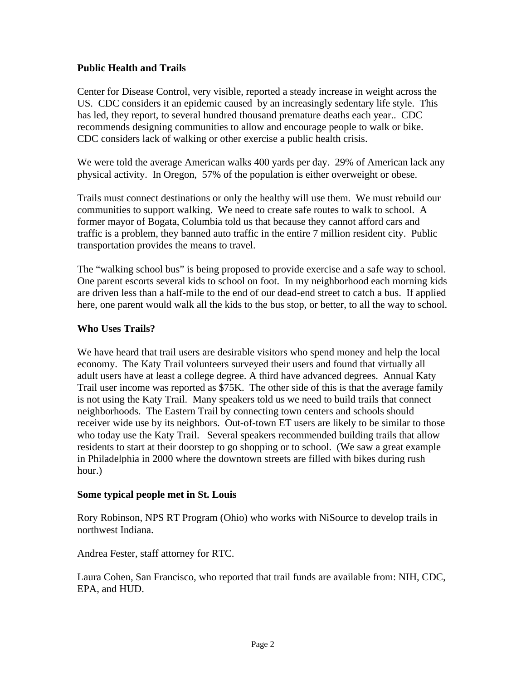## **Public Health and Trails**

Center for Disease Control, very visible, reported a steady increase in weight across the US. CDC considers it an epidemic caused by an increasingly sedentary life style. This has led, they report, to several hundred thousand premature deaths each year.. CDC recommends designing communities to allow and encourage people to walk or bike. CDC considers lack of walking or other exercise a public health crisis.

We were told the average American walks 400 yards per day. 29% of American lack any physical activity. In Oregon, 57% of the population is either overweight or obese.

Trails must connect destinations or only the healthy will use them. We must rebuild our communities to support walking. We need to create safe routes to walk to school. A former mayor of Bogata, Columbia told us that because they cannot afford cars and traffic is a problem, they banned auto traffic in the entire 7 million resident city. Public transportation provides the means to travel.

The "walking school bus" is being proposed to provide exercise and a safe way to school. One parent escorts several kids to school on foot. In my neighborhood each morning kids are driven less than a half-mile to the end of our dead-end street to catch a bus. If applied here, one parent would walk all the kids to the bus stop, or better, to all the way to school.

#### **Who Uses Trails?**

We have heard that trail users are desirable visitors who spend money and help the local economy. The Katy Trail volunteers surveyed their users and found that virtually all adult users have at least a college degree. A third have advanced degrees. Annual Katy Trail user income was reported as \$75K. The other side of this is that the average family is not using the Katy Trail. Many speakers told us we need to build trails that connect neighborhoods. The Eastern Trail by connecting town centers and schools should receiver wide use by its neighbors. Out-of-town ET users are likely to be similar to those who today use the Katy Trail. Several speakers recommended building trails that allow residents to start at their doorstep to go shopping or to school. (We saw a great example in Philadelphia in 2000 where the downtown streets are filled with bikes during rush hour.)

#### **Some typical people met in St. Louis**

Rory Robinson, NPS RT Program (Ohio) who works with NiSource to develop trails in northwest Indiana.

Andrea Fester, staff attorney for RTC.

Laura Cohen, San Francisco, who reported that trail funds are available from: NIH, CDC, EPA, and HUD.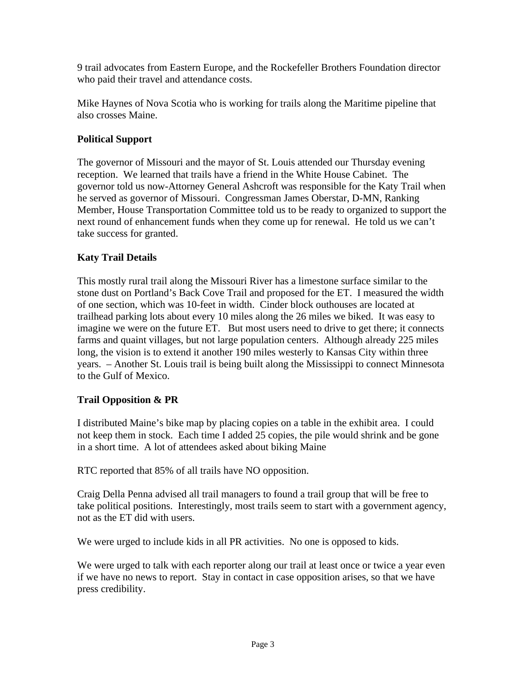9 trail advocates from Eastern Europe, and the Rockefeller Brothers Foundation director who paid their travel and attendance costs.

Mike Haynes of Nova Scotia who is working for trails along the Maritime pipeline that also crosses Maine.

## **Political Support**

The governor of Missouri and the mayor of St. Louis attended our Thursday evening reception. We learned that trails have a friend in the White House Cabinet. The governor told us now-Attorney General Ashcroft was responsible for the Katy Trail when he served as governor of Missouri. Congressman James Oberstar, D-MN, Ranking Member, House Transportation Committee told us to be ready to organized to support the next round of enhancement funds when they come up for renewal. He told us we can't take success for granted.

## **Katy Trail Details**

This mostly rural trail along the Missouri River has a limestone surface similar to the stone dust on Portland's Back Cove Trail and proposed for the ET. I measured the width of one section, which was 10-feet in width. Cinder block outhouses are located at trailhead parking lots about every 10 miles along the 26 miles we biked. It was easy to imagine we were on the future ET. But most users need to drive to get there; it connects farms and quaint villages, but not large population centers. Although already 225 miles long, the vision is to extend it another 190 miles westerly to Kansas City within three years. – Another St. Louis trail is being built along the Mississippi to connect Minnesota to the Gulf of Mexico.

## **Trail Opposition & PR**

I distributed Maine's bike map by placing copies on a table in the exhibit area. I could not keep them in stock. Each time I added 25 copies, the pile would shrink and be gone in a short time. A lot of attendees asked about biking Maine

RTC reported that 85% of all trails have NO opposition.

Craig Della Penna advised all trail managers to found a trail group that will be free to take political positions. Interestingly, most trails seem to start with a government agency, not as the ET did with users.

We were urged to include kids in all PR activities. No one is opposed to kids.

We were urged to talk with each reporter along our trail at least once or twice a year even if we have no news to report. Stay in contact in case opposition arises, so that we have press credibility.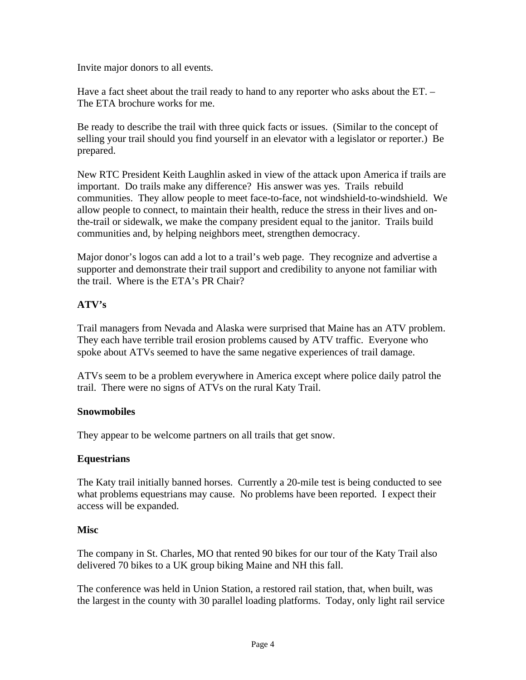Invite major donors to all events.

Have a fact sheet about the trail ready to hand to any reporter who asks about the ET. – The ETA brochure works for me.

Be ready to describe the trail with three quick facts or issues. (Similar to the concept of selling your trail should you find yourself in an elevator with a legislator or reporter.) Be prepared.

New RTC President Keith Laughlin asked in view of the attack upon America if trails are important. Do trails make any difference? His answer was yes. Trails rebuild communities. They allow people to meet face-to-face, not windshield-to-windshield. We allow people to connect, to maintain their health, reduce the stress in their lives and onthe-trail or sidewalk, we make the company president equal to the janitor. Trails build communities and, by helping neighbors meet, strengthen democracy.

Major donor's logos can add a lot to a trail's web page. They recognize and advertise a supporter and demonstrate their trail support and credibility to anyone not familiar with the trail. Where is the ETA's PR Chair?

# **ATV's**

Trail managers from Nevada and Alaska were surprised that Maine has an ATV problem. They each have terrible trail erosion problems caused by ATV traffic. Everyone who spoke about ATVs seemed to have the same negative experiences of trail damage.

ATVs seem to be a problem everywhere in America except where police daily patrol the trail. There were no signs of ATVs on the rural Katy Trail.

## **Snowmobiles**

They appear to be welcome partners on all trails that get snow.

## **Equestrians**

The Katy trail initially banned horses. Currently a 20-mile test is being conducted to see what problems equestrians may cause. No problems have been reported. I expect their access will be expanded.

## **Misc**

The company in St. Charles, MO that rented 90 bikes for our tour of the Katy Trail also delivered 70 bikes to a UK group biking Maine and NH this fall.

The conference was held in Union Station, a restored rail station, that, when built, was the largest in the county with 30 parallel loading platforms. Today, only light rail service